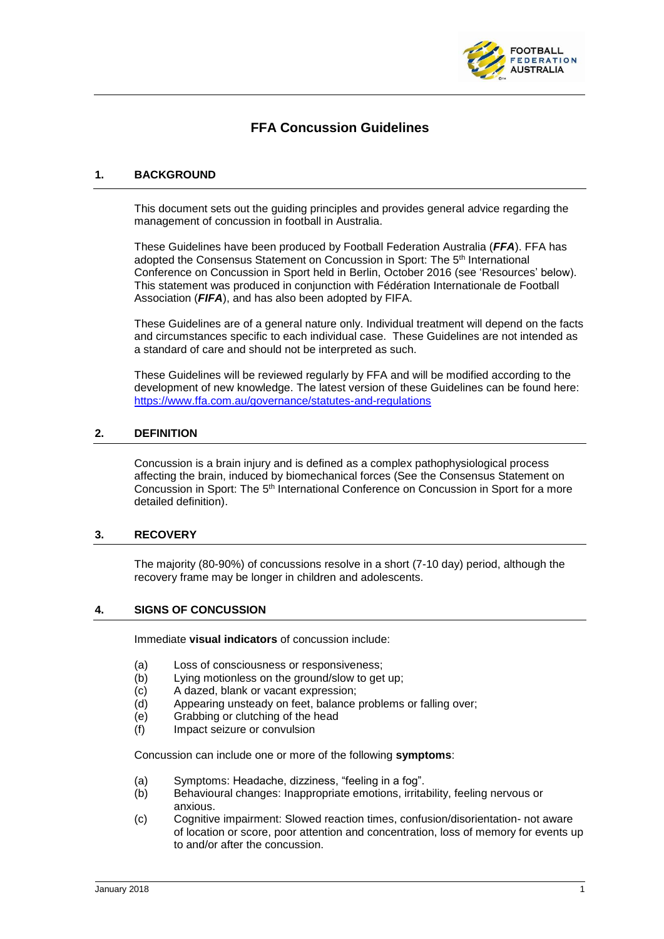

# **FFA Concussion Guidelines**

## **1. BACKGROUND**

This document sets out the guiding principles and provides general advice regarding the management of concussion in football in Australia.

These Guidelines have been produced by Football Federation Australia (*FFA*). FFA has adopted the Consensus Statement on Concussion in Sport: The 5th International Conference on Concussion in Sport held in Berlin, October 2016 (see 'Resources' below). This statement was produced in conjunction with Fédération Internationale de Football Association (*FIFA*), and has also been adopted by FIFA.

These Guidelines are of a general nature only. Individual treatment will depend on the facts and circumstances specific to each individual case. These Guidelines are not intended as a standard of care and should not be interpreted as such.

These Guidelines will be reviewed regularly by FFA and will be modified according to the development of new knowledge. The latest version of these Guidelines can be found here: <https://www.ffa.com.au/governance/statutes-and-regulations>

## **2. DEFINITION**

Concussion is a brain injury and is defined as a complex pathophysiological process affecting the brain, induced by biomechanical forces (See the Consensus Statement on Concussion in Sport: The 5<sup>th</sup> International Conference on Concussion in Sport for a more detailed definition).

## **3. RECOVERY**

The majority (80-90%) of concussions resolve in a short (7-10 day) period, although the recovery frame may be longer in children and adolescents.

### **4. SIGNS OF CONCUSSION**

Immediate **visual indicators** of concussion include:

- (a) Loss of consciousness or responsiveness;
- (b) Lying motionless on the ground/slow to get up;
- (c) A dazed, blank or vacant expression;
- (d) Appearing unsteady on feet, balance problems or falling over;
- (e) Grabbing or clutching of the head
- (f) Impact seizure or convulsion

Concussion can include one or more of the following **symptoms**:

- (a) Symptoms: Headache, dizziness, "feeling in a fog".
- (b) Behavioural changes: Inappropriate emotions, irritability, feeling nervous or anxious.
- (c) Cognitive impairment: Slowed reaction times, confusion/disorientation- not aware of location or score, poor attention and concentration, loss of memory for events up to and/or after the concussion.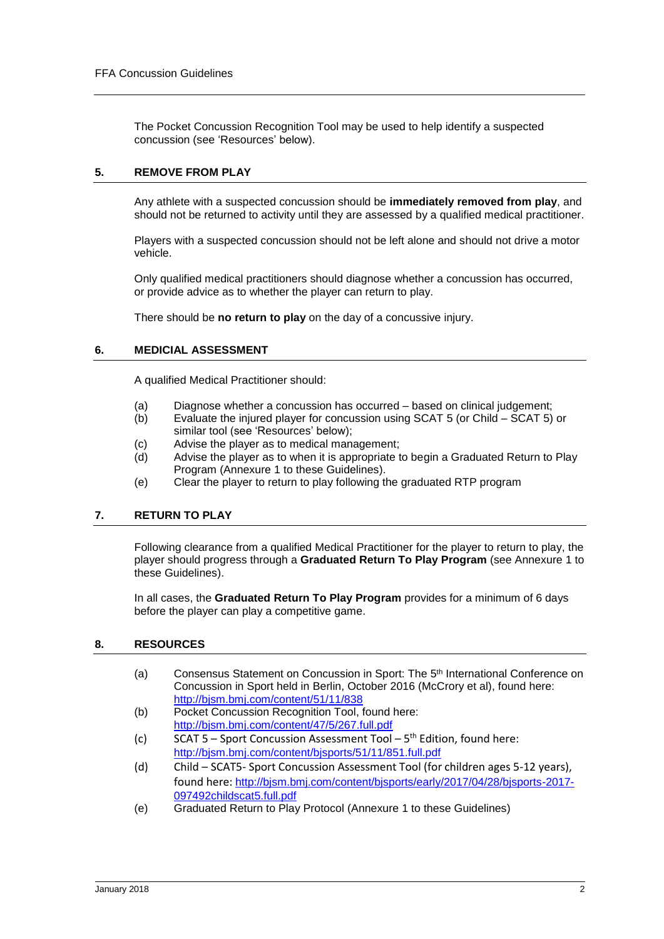The Pocket Concussion Recognition Tool may be used to help identify a suspected concussion (see 'Resources' below).

## **5. REMOVE FROM PLAY**

Any athlete with a suspected concussion should be **immediately removed from play**, and should not be returned to activity until they are assessed by a qualified medical practitioner.

Players with a suspected concussion should not be left alone and should not drive a motor vehicle.

Only qualified medical practitioners should diagnose whether a concussion has occurred, or provide advice as to whether the player can return to play.

There should be **no return to play** on the day of a concussive injury.

### **6. MEDICIAL ASSESSMENT**

A qualified Medical Practitioner should:

- (a) Diagnose whether a concussion has occurred based on clinical judgement;
- (b) Evaluate the injured player for concussion using SCAT 5 (or Child SCAT 5) or similar tool (see 'Resources' below);
- (c) Advise the player as to medical management;
- (d) Advise the player as to when it is appropriate to begin a Graduated Return to Play Program (Annexure 1 to these Guidelines).
- (e) Clear the player to return to play following the graduated RTP program

## **7. RETURN TO PLAY**

Following clearance from a qualified Medical Practitioner for the player to return to play, the player should progress through a **Graduated Return To Play Program** (see Annexure 1 to these Guidelines).

In all cases, the **Graduated Return To Play Program** provides for a minimum of 6 days before the player can play a competitive game.

### **8. RESOURCES**

- (a) Consensus Statement on Concussion in Sport: The 5<sup>th</sup> International Conference on Concussion in Sport held in Berlin, October 2016 (McCrory et al), found here: <http://bjsm.bmj.com/content/51/11/838>
- (b) Pocket Concussion Recognition Tool, found here: <http://bjsm.bmj.com/content/47/5/267.full.pdf>
- (c) SCAT 5 Sport Concussion Assessment Tool  $5<sup>th</sup>$  Edition, found here: <http://bjsm.bmj.com/content/bjsports/51/11/851.full.pdf>
- (d) Child SCAT5- Sport Concussion Assessment Tool (for children ages 5-12 years), found here: [http://bjsm.bmj.com/content/bjsports/early/2017/04/28/bjsports-2017-](http://bjsm.bmj.com/content/bjsports/early/2017/04/28/bjsports-2017-097492childscat5.full.pdf) [097492childscat5.full.pdf](http://bjsm.bmj.com/content/bjsports/early/2017/04/28/bjsports-2017-097492childscat5.full.pdf)
- (e) Graduated Return to Play Protocol (Annexure 1 to these Guidelines)